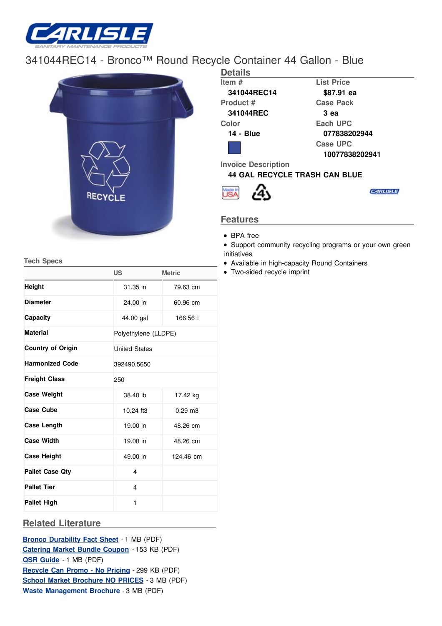

## [341044REC1](/)4 - Bronco™ Round Recycle Container 44 Gallon - Blue



| <b>Details</b>                       |                   |
|--------------------------------------|-------------------|
| Item #                               | <b>List Price</b> |
| 341044REC14                          | \$87.91 ea        |
| Product #                            | <b>Case Pack</b>  |
| 341044REC                            | 3 ea              |
| Color                                | Each UPC          |
| 14 - Blue                            | 077838202944      |
|                                      | Case UPC          |
|                                      | 10077838202941    |
| <b>Invoice Description</b>           |                   |
| <b>44 GAL RECYCLE TRASH CAN BLUE</b> |                   |
|                                      |                   |

## **Features**

• BPA free

Support community recycling programs or your own green initiatives

- Available in high-capacity Round Containers
- Two-sided recycle imprint

**Tech Specs**

|                          | <b>US</b>               | <b>Metric</b>        |  |  |  |  |
|--------------------------|-------------------------|----------------------|--|--|--|--|
| <b>Height</b>            | 31.35 in                | 79.63 cm             |  |  |  |  |
| <b>Diameter</b>          | 24.00 in                | 60.96 cm             |  |  |  |  |
| Capacity                 | 44.00 gal               | 166.56               |  |  |  |  |
| <b>Material</b>          |                         | Polyethylene (LLDPE) |  |  |  |  |
| <b>Country of Origin</b> | <b>United States</b>    |                      |  |  |  |  |
| <b>Harmonized Code</b>   | 392490.5650             |                      |  |  |  |  |
| <b>Freight Class</b>     | 250                     |                      |  |  |  |  |
| <b>Case Weight</b>       | 38.40 lb                | 17.42 kg             |  |  |  |  |
| <b>Case Cube</b>         | 10.24 ft3               | $0.29$ m $3$         |  |  |  |  |
| <b>Case Length</b>       | 19.00 in                | 48.26 cm             |  |  |  |  |
| <b>Case Width</b>        | 19.00 in                | 48.26 cm             |  |  |  |  |
| <b>Case Height</b>       | 49.00 in                | 124.46 cm            |  |  |  |  |
| <b>Pallet Case Qty</b>   | 4                       |                      |  |  |  |  |
| <b>Pallet Tier</b>       | $\overline{\mathbf{4}}$ |                      |  |  |  |  |
| <b>Pallet High</b>       | 1                       |                      |  |  |  |  |

## **Related Literature**

**Bronco [Durability](http://www.carlislefsp.com/files/BroncoDurability_FS_PUBLISH.pdf) Fact Sheet** - 1 MB (PDF) **[Catering](http://www.carlislefsp.com/files/bundle_coupon_PUBLISH.pdf) Market Bundle Coupon** - 153 KB (PDF) **QSR [Guide](http://www.carlislefsp.com/files/FSP_QSR_Guide_PUBLISH.pdf)** - 1 MB (PDF) **[Recycle](http://www.carlislefsp.com/files/RecycleCanPromo_NOPRICING_PUBLISH.pdf) Can Promo - No Pricing** - 299 KB (PDF) **School Market [Brochure](http://www.carlislefsp.com/files/school_lunch_noprice_PUBLISH.pdf) NO PRICES** - 3 MB (PDF) **Waste [Management](http://www.carlislefsp.com/files/WasteMgmtBroch_PUBLISH.pdf) Brochure** - 3 MB (PDF)